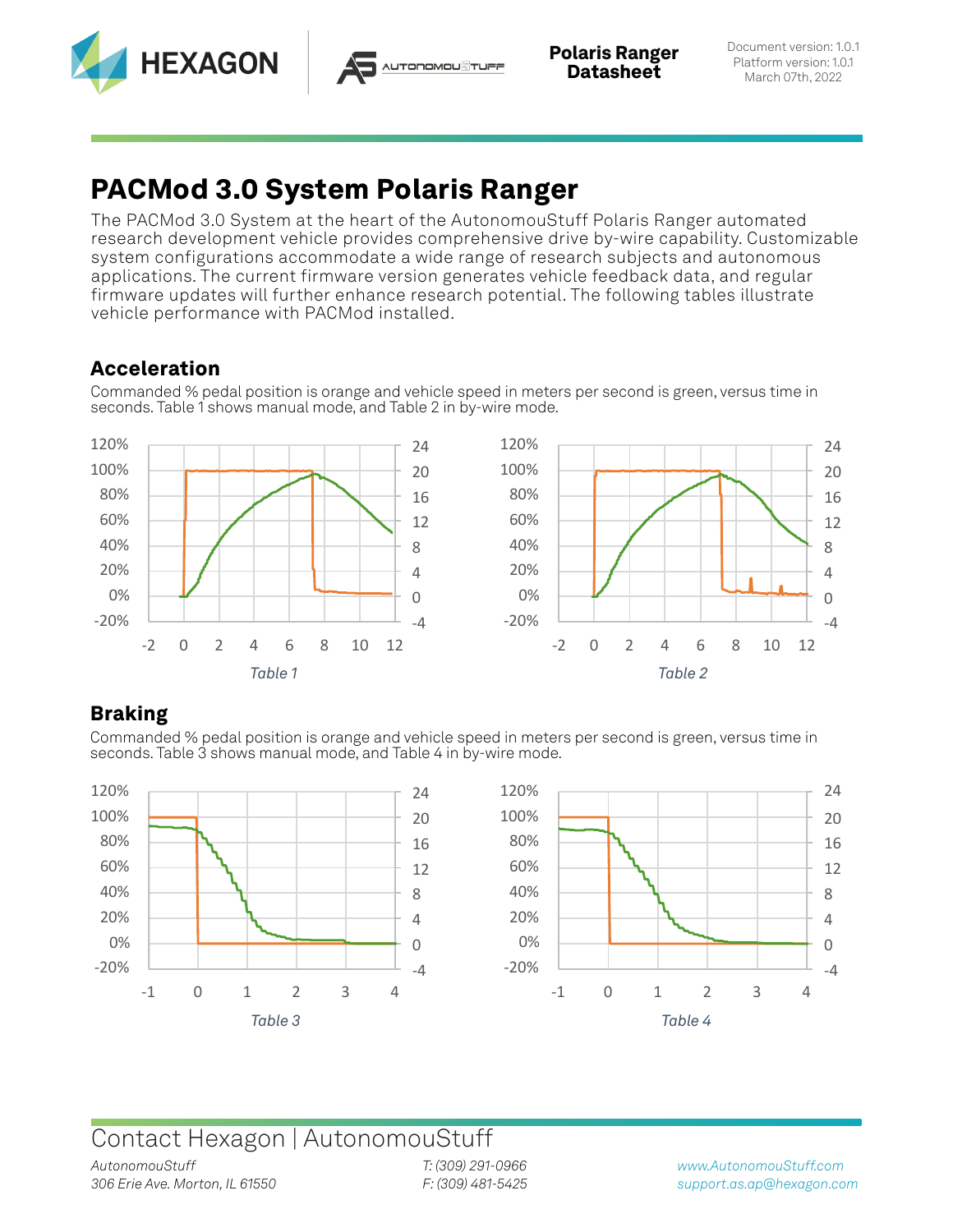



# **PACMod 3.0 System Polaris Ranger**

The PACMod 3.0 System at the heart of the AutonomouStuff Polaris Ranger automated research development vehicle provides comprehensive drive by-wire capability. Customizable system configurations accommodate a wide range of research subjects and autonomous applications. The current firmware version generates vehicle feedback data, and regular firmware updates will further enhance research potential. The following tables illustrate vehicle performance with PACMod installed.

### **Acceleration**

Commanded % pedal position is orange and vehicle speed in meters per second is green, versus time in seconds. Table 1 shows manual mode, and Table 2 in by-wire mode.



### **Braking**

Commanded % pedal position is orange and vehicle speed in meters per second is green, versus time in seconds. Table 3 shows manual mode, and Table 4 in by-wire mode.





## Contact Hexagon | AutonomouStuff

*T: (309) 291-0966 F: (309) 481-5425*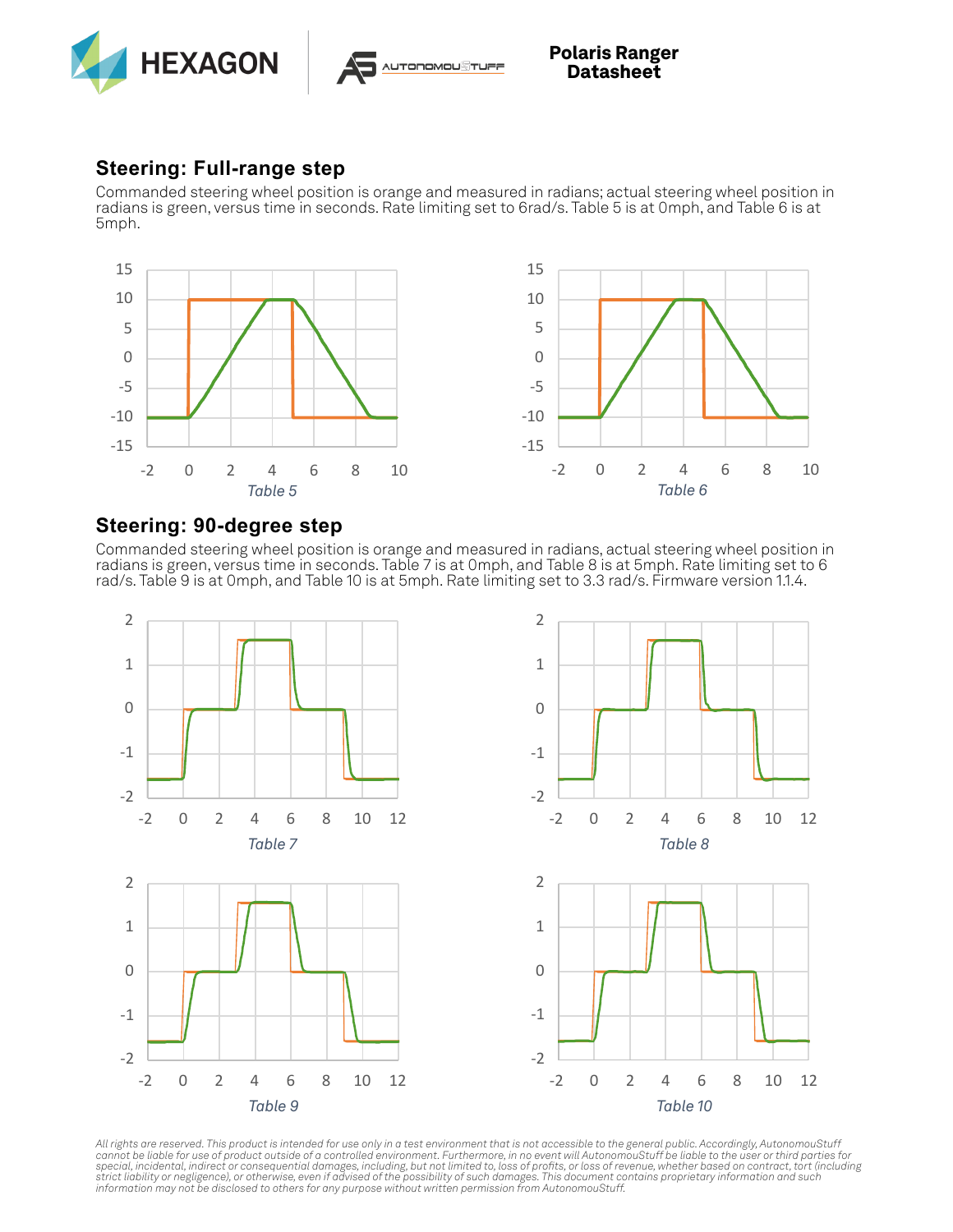



**Polaris Ranger Datasheet**

#### **Steering: Full-range step**

Commanded steering wheel position is orange and measured in radians; actual steering wheel position in radians is green, versus time in seconds. Rate limiting set to 6rad/s. Table 5 is at 0mph, and Table 6 is at 5mph.



#### **Steering: 90-degree step**

Commanded steering wheel position is orange and measured in radians, actual steering wheel position in radians is green, versus time in seconds. Table 7 is at 0mph, and Table 8 is at 5mph. Rate limiting set to 6 rad/s. Table 9 is at 0mph, and Table 10 is at 5mph. Rate limiting set to 3.3 rad/s. Firmware version 1.1.4.



All rights are reserved. This product is intended for use only in a test environment that is not accessible to the general public. Accordingly, AutonomouStuff<br>cannot be liable for use of product outside of a controlled env *strict liability or negligence), or otherwise, even if advised of the possibility of such damages. This document contains proprietary information and such information may not be disclosed to others for any purpose without written permission from AutonomouStuff.*